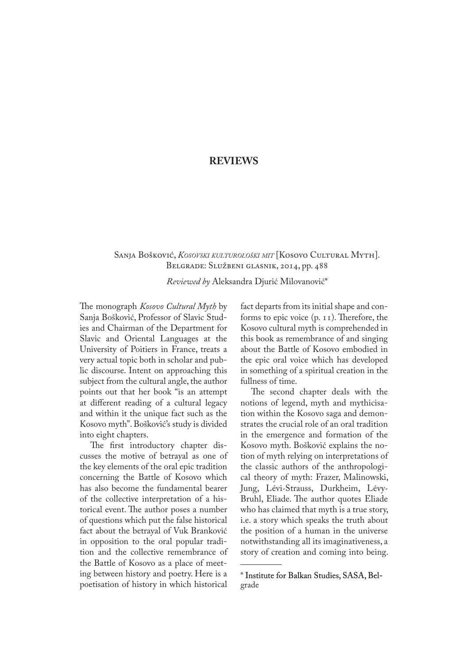## **REVIEWS**

## Sanja Bošković, *Kosovski kulturološki mit* [Kosovo Cultural Myth]. Belgrade: Službeni glasnik, 2014, pp. 488

*Reviewed by* Aleksandra Djurić Milovanović\*

The monograph *Kosovo Cultural Myth* by Sanja Bošković, Professor of Slavic Stud� ies and Chairman of the Department for Slavic and Oriental Languages at the University of Poitiers in France, treats a very actual topic both in scholar and public discourse. Intent on approaching this subject from the cultural angle, the author points out that her book "is an attempt at different reading of a cultural legacy and within it the unique fact such as the Kosovo myth". Bošković's study is divided into eight chapters.

The first introductory chapter discusses the motive of betrayal as one of the key elements of the oral epic tradition concerning the Battle of Kosovo which has also become the fundamental bearer of the collective interpretation of a historical event. The author poses a number of questions which put the false historical fact about the betrayal of Vuk Branković in opposition to the oral popular tradition and the collective remembrance of the Battle of Kosovo as a place of meeting between history and poetry. Here is a poetisation of history in which historical

fact departs from its initial shape and con� forms to epic voice (p. 11). Therefore, the Kosovo cultural myth is comprehended in this book as remembrance of and singing about the Battle of Kosovo embodied in the epic oral voice which has developed in something of a spiritual creation in the fullness of time.

The second chapter deals with the notions of legend, myth and mythicisation within the Kosovo saga and demon� strates the crucial role of an oral tradition in the emergence and formation of the Kosovo myth. Bošković explains the notion of myth relying on interpretations of the classic authors of the anthropological theory of myth: Frazer, Malinowski, Jung, Lévi-Strauss, Durkheim, Lévy-Bruhl, Eliade. The author quotes Eliade who has claimed that myth is a true story, i.e. a story which speaks the truth about the position of a human in the universe notwithstanding all its imaginativeness, a story of creation and coming into being.

<sup>\*</sup> Institute for Balkan Studies, SASA, Belgrade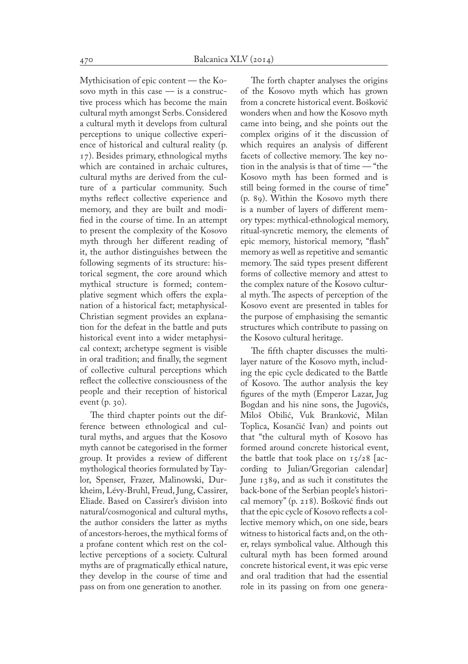Mythicisation of epic content — the Kosovo myth in this case  $-$  is a constructive process which has become the main cultural myth amongst Serbs. Considered a cultural myth it develops from cultural perceptions to unique collective experience of historical and cultural reality (p. 17). Besides primary, ethnological myths which are contained in archaic cultures, cultural myths are derived from the culture of a particular community. Such myths reflect collective experience and memory, and they are built and modified in the course of time. In an attempt to present the complexity of the Kosovo myth through her different reading of it, the author distinguishes between the following segments of its structure: historical segment, the core around which mythical structure is formed; contem� plative segment which offers the expla� nation of a historical fact; metaphysical-Christian segment provides an explana� tion for the defeat in the battle and puts historical event into a wider metaphysical context; archetype segment is visible in oral tradition; and finally, the segment of collective cultural perceptions which reflect the collective consciousness of the people and their reception of historical event (p. 30).

The third chapter points out the difference between ethnological and cultural myths, and argues that the Kosovo myth cannot be categorised in the former group. It provides a review of different mythological theories formulated by Taylor, Spenser, Frazer, Malinowski, Durkheim, Lévy-Bruhl, Freud, Jung, Cassirer, Eliade. Based on Cassirer's division into natural/cosmogonical and cultural myths, the author considers the latter as myths of ancestors-heroes, the mythical forms of a profane content which rest on the collective perceptions of a society. Cultural myths are of pragmatically ethical nature, they develop in the course of time and pass on from one generation to another.

The forth chapter analyses the origins of the Kosovo myth which has grown from a concrete historical event. Bošković wonders when and how the Kosovo myth came into being, and she points out the complex origins of it the discussion of which requires an analysis of different facets of collective memory. The key notion in the analysis is that of time — "the Kosovo myth has been formed and is still being formed in the course of time" (p. 89). Within the Kosovo myth there is a number of layers of different memory types: mythical-ethnological memory, ritual-syncretic memory, the elements of epic memory, historical memory, "flash" memory as well as repetitive and semantic memory. The said types present different forms of collective memory and attest to the complex nature of the Kosovo cultur� al myth. The aspects of perception of the Kosovo event are presented in tables for the purpose of emphasising the semantic structures which contribute to passing on the Kosovo cultural heritage.

The fifth chapter discusses the multilayer nature of the Kosovo myth, includ� ing the epic cycle dedicated to the Battle of Kosovo. The author analysis the key figures of the myth (Emperor Lazar, Jug Bogdan and his nine sons, the Jugovićs, Miloš Obilić, Vuk Branković, Milan Toplica, Kosančić Ivan) and points out that "the cultural myth of Kosovo has formed around concrete historical event, the battle that took place on  $15/28$  [according to Julian/Gregorian calendar] June 1389, and as such it constitutes the back-bone of the Serbian people's historical memory" (p. 218). Bošković finds out that the epic cycle of Kosovo reflects a collective memory which, on one side, bears witness to historical facts and, on the other, relays symbolical value. Although this cultural myth has been formed around concrete historical event, it was epic verse and oral tradition that had the essential role in its passing on from one genera